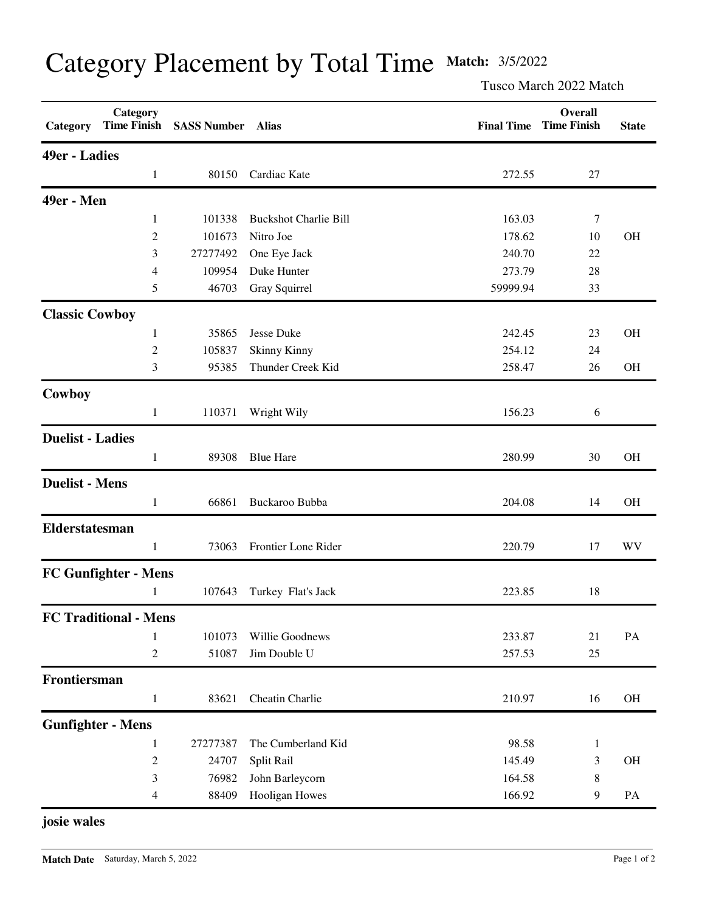| Category Placement by Total Time Match: 3/5/2022 |  |  |  |  |
|--------------------------------------------------|--|--|--|--|
|--------------------------------------------------|--|--|--|--|

Tusco March 2022 Match

| Category                    | Category<br><b>Time Finish</b> | <b>SASS Number</b> | Alias                        | <b>Final Time</b> | Overall<br><b>Time Finish</b> | <b>State</b> |  |  |
|-----------------------------|--------------------------------|--------------------|------------------------------|-------------------|-------------------------------|--------------|--|--|
|                             | 49er - Ladies                  |                    |                              |                   |                               |              |  |  |
|                             | $\mathbf{1}$                   | 80150              | Cardiac Kate                 | 272.55            | 27                            |              |  |  |
| 49er - Men                  |                                |                    |                              |                   |                               |              |  |  |
|                             | 1                              | 101338             | <b>Buckshot Charlie Bill</b> | 163.03            | 7                             |              |  |  |
|                             | $\overline{c}$                 | 101673             | Nitro Joe                    | 178.62            | 10                            | <b>OH</b>    |  |  |
|                             | 3                              | 27277492           | One Eye Jack                 | 240.70            | 22                            |              |  |  |
|                             | 4                              | 109954             | Duke Hunter                  | 273.79            | 28                            |              |  |  |
|                             | 5                              | 46703              | Gray Squirrel                | 59999.94          | 33                            |              |  |  |
| <b>Classic Cowboy</b>       |                                |                    |                              |                   |                               |              |  |  |
|                             | 1                              | 35865              | Jesse Duke                   | 242.45            | 23                            | <b>OH</b>    |  |  |
|                             | $\overline{2}$                 | 105837             | <b>Skinny Kinny</b>          | 254.12            | 24                            |              |  |  |
|                             | 3                              | 95385              | Thunder Creek Kid            | 258.47            | 26                            | <b>OH</b>    |  |  |
| Cowboy                      |                                |                    |                              |                   |                               |              |  |  |
|                             | $\mathbf{1}$                   | 110371             | Wright Wily                  | 156.23            | 6                             |              |  |  |
| <b>Duelist - Ladies</b>     |                                |                    |                              |                   |                               |              |  |  |
|                             | $\mathbf{1}$                   | 89308              | <b>Blue Hare</b>             | 280.99            | 30                            | <b>OH</b>    |  |  |
| <b>Duelist - Mens</b>       |                                |                    |                              |                   |                               |              |  |  |
|                             | $\mathbf{1}$                   | 66861              | Buckaroo Bubba               | 204.08            | 14                            | <b>OH</b>    |  |  |
| Elderstatesman              |                                |                    |                              |                   |                               |              |  |  |
|                             | 1                              | 73063              | Frontier Lone Rider          | 220.79            | 17                            | WV           |  |  |
| <b>FC Gunfighter - Mens</b> |                                |                    |                              |                   |                               |              |  |  |
|                             | 1                              | 107643             | Turkey Flat's Jack           | 223.85            | 18                            |              |  |  |
|                             | <b>FC Traditional - Mens</b>   |                    |                              |                   |                               |              |  |  |
|                             | 1                              | 101073             | Willie Goodnews              | 233.87            | 21                            | PA           |  |  |
|                             | $\overline{c}$                 | 51087              | Jim Double U                 | 257.53            | 25                            |              |  |  |
| Frontiersman                |                                |                    |                              |                   |                               |              |  |  |
|                             | $\mathbf{1}$                   | 83621              | Cheatin Charlie              | 210.97            | 16                            | $\rm OH$     |  |  |
|                             | <b>Gunfighter - Mens</b>       |                    |                              |                   |                               |              |  |  |
|                             | $\mathbf{1}$                   | 27277387           | The Cumberland Kid           | 98.58             | $\mathbf{1}$                  |              |  |  |
|                             | $\overline{c}$                 | 24707              | Split Rail                   | 145.49            | 3                             | OH           |  |  |
|                             | 3                              | 76982              | John Barleycorn              | 164.58            | 8                             |              |  |  |
|                             | 4                              | 88409              | <b>Hooligan Howes</b>        | 166.92            | 9                             | PA           |  |  |

**josie wales**